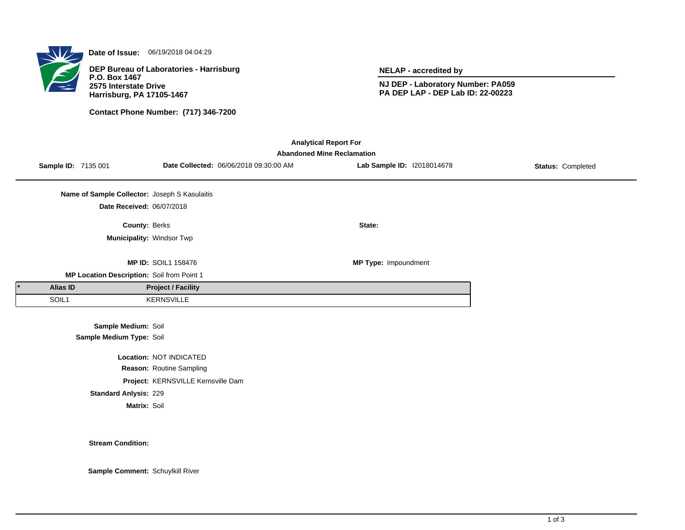

**Date of Issue:** 06/19/2018 04:04:29

**DEP Bureau of Laboratories - Harrisburg P.O. Box 1467 2575 Interstate Drive Harrisburg, PA 17105-1467**

**Contact Phone Number: (717) 346-7200**

**NELAP - accredited by**

**NJ DEP - Laboratory Number: PA059 PA DEP LAP - DEP Lab ID: 22-00223**

| <b>Analytical Report For</b><br><b>Abandoned Mine Reclamation</b> |                     |                                                 |                            |                                        |                             |                   |  |  |  |
|-------------------------------------------------------------------|---------------------|-------------------------------------------------|----------------------------|----------------------------------------|-----------------------------|-------------------|--|--|--|
|                                                                   | Sample ID: 7135 001 |                                                 |                            | Date Collected: 06/06/2018 09:30:00 AM | Lab Sample ID: 12018014678  | Status: Completed |  |  |  |
|                                                                   |                     | Name of Sample Collector: Joseph S Kasulaitis   |                            |                                        |                             |                   |  |  |  |
|                                                                   |                     | Date Received: 06/07/2018                       |                            |                                        |                             |                   |  |  |  |
|                                                                   |                     | County: Berks                                   |                            |                                        | State:                      |                   |  |  |  |
|                                                                   |                     | Municipality: Windsor Twp                       |                            |                                        |                             |                   |  |  |  |
|                                                                   |                     |                                                 | <b>MP ID: SOIL1 158476</b> |                                        | <b>MP Type: Impoundment</b> |                   |  |  |  |
| MP Location Description: Soil from Point 1                        |                     |                                                 |                            |                                        |                             |                   |  |  |  |
|                                                                   | Alias ID            |                                                 | <b>Project / Facility</b>  |                                        |                             |                   |  |  |  |
|                                                                   | SOIL1               |                                                 | KERNSVILLE                 |                                        |                             |                   |  |  |  |
|                                                                   |                     | Sample Medium: Soil<br>Sample Medium Type: Soil |                            |                                        |                             |                   |  |  |  |
| Location: NOT INDICATED                                           |                     |                                                 |                            |                                        |                             |                   |  |  |  |
|                                                                   |                     |                                                 | Reason: Routine Sampling   |                                        |                             |                   |  |  |  |
| Project: KERNSVILLE Kernsville Dam                                |                     |                                                 |                            |                                        |                             |                   |  |  |  |

**Standard Anlysis:** 229

**Matrix:** Soil

**Stream Condition:**

**Sample Comment:** Schuylkill River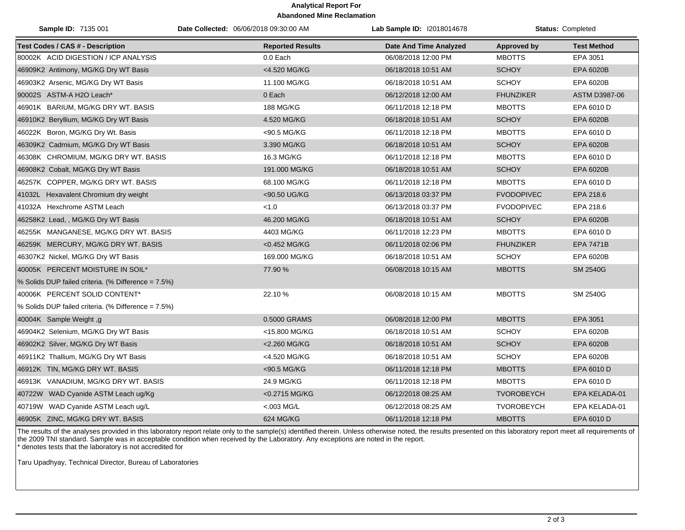## **Analytical Report For Abandoned Mine Reclamation**

| Sample ID: 7135 001                                 | Date Collected: 06/06/2018 09:30:00 AM | Lab Sample ID: I2018014678    |                   | Status: Completed  |
|-----------------------------------------------------|----------------------------------------|-------------------------------|-------------------|--------------------|
| <b>Test Codes / CAS # - Description</b>             | <b>Reported Results</b>                | <b>Date And Time Analyzed</b> | Approved by       | <b>Test Method</b> |
| 80002K ACID DIGESTION / ICP ANALYSIS                | 0.0 Each                               | 06/08/2018 12:00 PM           | <b>MBOTTS</b>     | EPA 3051           |
| 46909K2 Antimony, MG/KG Dry WT Basis                | <4.520 MG/KG                           | 06/18/2018 10:51 AM           | <b>SCHOY</b>      | EPA 6020B          |
| 46903K2 Arsenic, MG/KG Dry WT Basis                 | 11.100 MG/KG                           | 06/18/2018 10:51 AM           | <b>SCHOY</b>      | EPA 6020B          |
| 90002S ASTM-A H2O Leach*                            | 0 Each                                 | 06/12/2018 12:00 AM           | <b>FHUNZIKER</b>  | ASTM D3987-06      |
| 46901K BARIUM, MG/KG DRY WT. BASIS                  | 188 MG/KG                              | 06/11/2018 12:18 PM           | <b>MBOTTS</b>     | EPA 6010 D         |
| 46910K2 Beryllium, MG/KG Dry WT Basis               | 4.520 MG/KG                            | 06/18/2018 10:51 AM           | <b>SCHOY</b>      | EPA 6020B          |
| 46022K Boron, MG/KG Dry Wt. Basis                   | <90.5 MG/KG                            | 06/11/2018 12:18 PM           | <b>MBOTTS</b>     | EPA 6010 D         |
| 46309K2 Cadmium, MG/KG Dry WT Basis                 | 3.390 MG/KG                            | 06/18/2018 10:51 AM           | <b>SCHOY</b>      | EPA 6020B          |
| 46308K CHROMIUM, MG/KG DRY WT. BASIS                | 16.3 MG/KG                             | 06/11/2018 12:18 PM           | <b>MBOTTS</b>     | EPA 6010 D         |
| 46908K2 Cobalt, MG/KG Dry WT Basis                  | 191.000 MG/KG                          | 06/18/2018 10:51 AM           | <b>SCHOY</b>      | EPA 6020B          |
| 46257K COPPER, MG/KG DRY WT. BASIS                  | 68.100 MG/KG                           | 06/11/2018 12:18 PM           | <b>MBOTTS</b>     | EPA 6010 D         |
| 41032L Hexavalent Chromium dry weight               | <90.50 UG/KG                           | 06/13/2018 03:37 PM           | <b>FVODOPIVEC</b> | EPA 218.6          |
| 41032A Hexchrome ASTM Leach                         | < 1.0                                  | 06/13/2018 03:37 PM           | <b>FVODOPIVEC</b> | EPA 218.6          |
| 46258K2 Lead, , MG/KG Dry WT Basis                  | 46.200 MG/KG                           | 06/18/2018 10:51 AM           | <b>SCHOY</b>      | EPA 6020B          |
| 46255K MANGANESE, MG/KG DRY WT. BASIS               | 4403 MG/KG                             | 06/11/2018 12:23 PM           | <b>MBOTTS</b>     | EPA 6010 D         |
| 46259K MERCURY, MG/KG DRY WT. BASIS                 | <0.452 MG/KG                           | 06/11/2018 02:06 PM           | <b>FHUNZIKER</b>  | <b>EPA 7471B</b>   |
| 46307K2 Nickel, MG/KG Dry WT Basis                  | 169.000 MG/KG                          | 06/18/2018 10:51 AM           | <b>SCHOY</b>      | EPA 6020B          |
| 40005K PERCENT MOISTURE IN SOIL*                    | 77.90 %                                | 06/08/2018 10:15 AM           | <b>MBOTTS</b>     | <b>SM 2540G</b>    |
| % Solids DUP failed criteria. (% Difference = 7.5%) |                                        |                               |                   |                    |
| 40006K PERCENT SOLID CONTENT*                       | 22.10%                                 | 06/08/2018 10:15 AM           | <b>MBOTTS</b>     | <b>SM 2540G</b>    |
| % Solids DUP failed criteria. (% Difference = 7.5%) |                                        |                               |                   |                    |
| 40004K Sample Weight, g                             | 0.5000 GRAMS                           | 06/08/2018 12:00 PM           | <b>MBOTTS</b>     | EPA 3051           |
| 46904K2 Selenium, MG/KG Dry WT Basis                | <15.800 MG/KG                          | 06/18/2018 10:51 AM           | <b>SCHOY</b>      | EPA 6020B          |
| 46902K2 Silver, MG/KG Dry WT Basis                  | <2.260 MG/KG                           | 06/18/2018 10:51 AM           | <b>SCHOY</b>      | EPA 6020B          |
| 46911K2 Thallium, MG/KG Dry WT Basis                | <4.520 MG/KG                           | 06/18/2018 10:51 AM           | <b>SCHOY</b>      | EPA 6020B          |
| 46912K TIN, MG/KG DRY WT. BASIS                     | <90.5 MG/KG                            | 06/11/2018 12:18 PM           | <b>MBOTTS</b>     | EPA 6010 D         |
| 46913K VANADIUM, MG/KG DRY WT. BASIS                | 24.9 MG/KG                             | 06/11/2018 12:18 PM           | <b>MBOTTS</b>     | EPA 6010 D         |
| 40722W WAD Cyanide ASTM Leach ug/Kg                 | <0.2715 MG/KG                          | 06/12/2018 08:25 AM           | TVOROBEYCH        | EPA KELADA-01      |
| 40719W WAD Cyanide ASTM Leach ug/L                  | $< 003$ MG/L                           | 06/12/2018 08:25 AM           | <b>TVOROBEYCH</b> | EPA KELADA-01      |
| 46905K ZINC, MG/KG DRY WT. BASIS                    | 624 MG/KG                              | 06/11/2018 12:18 PM           | <b>MBOTTS</b>     | EPA 6010 D         |

The results of the analyses provided in this laboratory report relate only to the sample(s) identified therein. Unless otherwise noted, the results presented on this laboratory report meet all requirements of the 2009 TNI standard. Sample was in acceptable condition when received by the Laboratory. Any exceptions are noted in the report. \* denotes tests that the laboratory is not accredited for

Taru Upadhyay, Technical Director, Bureau of Laboratories